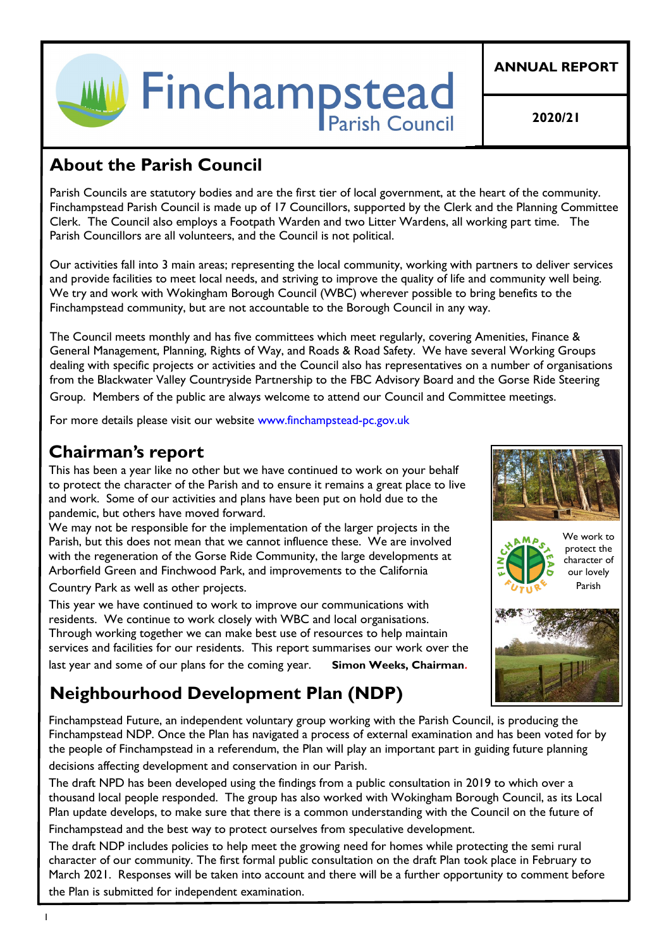

**ANNUAL REPORT**

**2020/21**

# **About the Parish Council**

Parish Councils are statutory bodies and are the first tier of local government, at the heart of the community. Finchampstead Parish Council is made up of 17 Councillors, supported by the Clerk and the Planning Committee Clerk. The Council also employs a Footpath Warden and two Litter Wardens, all working part time. The Parish Councillors are all volunteers, and the Council is not political.

Our activities fall into 3 main areas; representing the local community, working with partners to deliver services and provide facilities to meet local needs, and striving to improve the quality of life and community well being. We try and work with Wokingham Borough Council (WBC) wherever possible to bring benefits to the Finchampstead community, but are not accountable to the Borough Council in any way.

The Council meets monthly and has five committees which meet regularly, covering Amenities, Finance & General Management, Planning, Rights of Way, and Roads & Road Safety. We have several Working Groups dealing with specific projects or activities and the Council also has representatives on a number of organisations from the Blackwater Valley Countryside Partnership to the FBC Advisory Board and the Gorse Ride Steering Group. Members of the public are always welcome to attend our Council and Committee meetings.

For more details please visit our website www.finchampstead-pc.gov.uk

# **Chairman's report**

This has been a year like no other but we have continued to work on your behalf to protect the character of the Parish and to ensure it remains a great place to live and work. Some of our activities and plans have been put on hold due to the pandemic, but others have moved forward.

We may not be responsible for the implementation of the larger projects in the Parish, but this does not mean that we cannot influence these. We are involved with the regeneration of the Gorse Ride Community, the large developments at Arborfield Green and Finchwood Park, and improvements to the California

Country Park as well as other projects.

This year we have continued to work to improve our communications with residents. We continue to work closely with WBC and local organisations. Through working together we can make best use of resources to help maintain services and facilities for our residents. This report summarises our work over the last year and some of our plans for the coming year. **Simon Weeks, Chairman***.* 

# **Neighbourhood Development Plan (NDP)**

Finchampstead Future, an independent voluntary group working with the Parish Council, is producing the Finchampstead NDP. Once the Plan has navigated a process of external examination and has been voted for by the people of Finchampstead in a referendum, the Plan will play an important part in guiding future planning decisions affecting development and conservation in our Parish.

The draft NPD has been developed using the findings from a public consultation in 2019 to which over a thousand local people responded. The group has also worked with Wokingham Borough Council, as its Local Plan update develops, to make sure that there is a common understanding with the Council on the future of Finchampstead and the best way to protect ourselves from speculative development.

The draft NDP includes policies to help meet the growing need for homes while protecting the semi rural character of our community. The first formal public consultation on the draft Plan took place in February to March 2021. Responses will be taken into account and there will be a further opportunity to comment before the Plan is submitted for independent examination.







1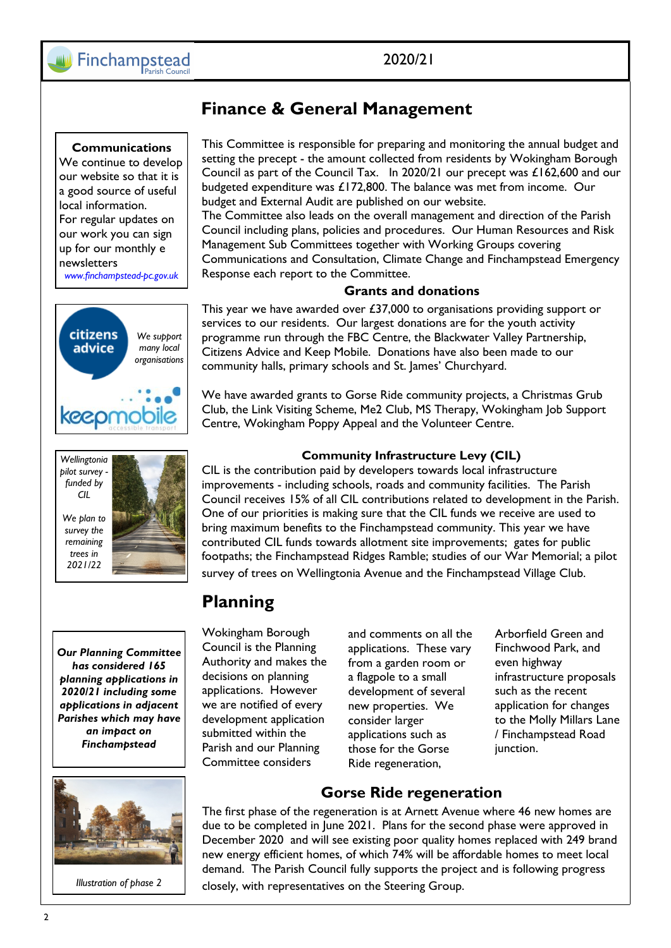## **Communications**

We continue to develop our website so that it is a good source of useful local information. For regular updates on our work you can sign up for our monthly e newsletters *www.finchampstead-pc.gov.uk*



*Our Planning Committee has considered 165 planning applications in 2020/21 including some applications in adjacent Parishes which may have an impact on Finchampstead*



*Illustration of phase 2*

## **Finance & General Management**

This Committee is responsible for preparing and monitoring the annual budget and setting the precept - the amount collected from residents by Wokingham Borough Council as part of the Council Tax. In 2020/21 our precept was £162,600 and our budgeted expenditure was £172,800. The balance was met from income. Our budget and External Audit are published on our website.

The Committee also leads on the overall management and direction of the Parish Council including plans, policies and procedures. Our Human Resources and Risk Management Sub Committees together with Working Groups covering Communications and Consultation, Climate Change and Finchampstead Emergency Response each report to the Committee.

### **Grants and donations**

This year we have awarded over £37,000 to organisations providing support or services to our residents. Our largest donations are for the youth activity programme run through the FBC Centre, the Blackwater Valley Partnership, Citizens Advice and Keep Mobile. Donations have also been made to our community halls, primary schools and St. James' Churchyard.

We have awarded grants to Gorse Ride community projects, a Christmas Grub Club, the Link Visiting Scheme, Me2 Club, MS Therapy, Wokingham Job Support Centre, Wokingham Poppy Appeal and the Volunteer Centre.

### **Community Infrastructure Levy (CIL)**

CIL is the contribution paid by developers towards local infrastructure improvements - including schools, roads and community facilities. The Parish Council receives 15% of all CIL contributions related to development in the Parish. One of our priorities is making sure that the CIL funds we receive are used to bring maximum benefits to the Finchampstead community. This year we have contributed CIL funds towards allotment site improvements; gates for public footpaths; the Finchampstead Ridges Ramble; studies of our War Memorial; a pilot survey of trees on Wellingtonia Avenue and the Finchampstead Village Club.

## **Planning**

Wokingham Borough Council is the Planning Authority and makes the decisions on planning applications. However we are notified of every development application submitted within the Parish and our Planning Committee considers

and comments on all the applications. These vary from a garden room or a flagpole to a small development of several new properties. We consider larger applications such as those for the Gorse Ride regeneration,

Arborfield Green and Finchwood Park, and even highway infrastructure proposals such as the recent application for changes to the Molly Millars Lane / Finchampstead Road junction.

## **Gorse Ride regeneration**

The first phase of the regeneration is at Arnett Avenue where 46 new homes are due to be completed in June 2021. Plans for the second phase were approved in December 2020 and will see existing poor quality homes replaced with 249 brand new energy efficient homes, of which 74% will be affordable homes to meet local demand. The Parish Council fully supports the project and is following progress closely, with representatives on the Steering Group.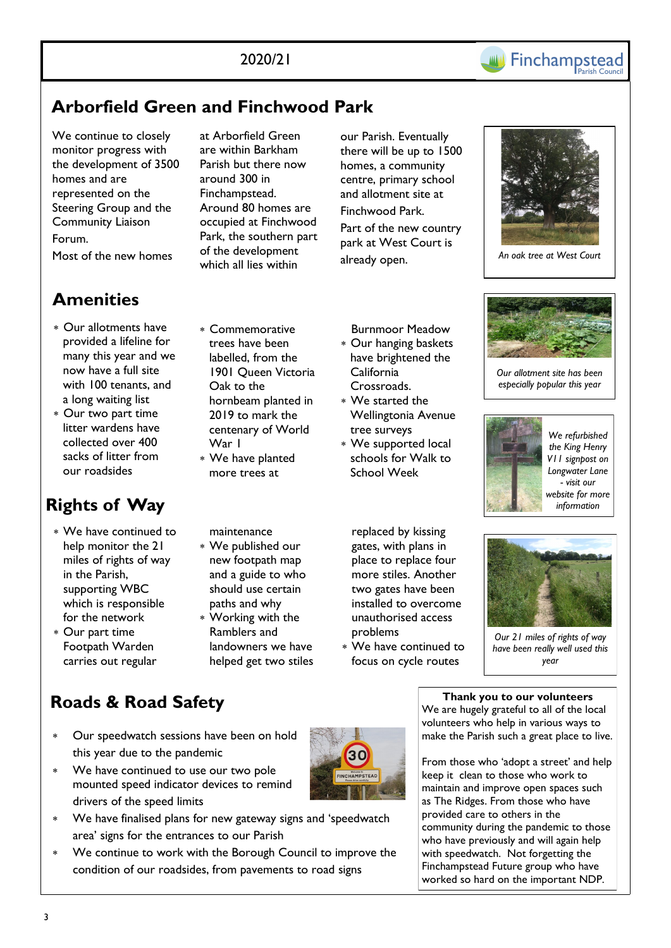

# **Arborfield Green and Finchwood Park**

We continue to closely monitor progress with the development of 3500 homes and are represented on the Steering Group and the Community Liaison Forum. Most of the new homes

# **Amenities**

- Our allotments have provided a lifeline for many this year and we now have a full site with 100 tenants, and a long waiting list
- Our two part time litter wardens have collected over 400 sacks of litter from our roadsides

# **Rights of Way**

- We have continued to help monitor the 21 miles of rights of way in the Parish, supporting WBC which is responsible for the network
- Our part time Footpath Warden carries out regular

at Arborfield Green are within Barkham Parish but there now around 300 in Finchampstead. Around 80 homes are occupied at Finchwood Park, the southern part of the development which all lies within

our Parish. Eventually there will be up to 1500 homes, a community centre, primary school and allotment site at Finchwood Park. Part of the new country park at West Court is already open.



*An oak tree at West Court* 

- Commemorative trees have been labelled, from the 1901 Queen Victoria Oak to the hornbeam planted in 2019 to mark the centenary of World War I
- We have planted more trees at

maintenance

- We published our new footpath map and a guide to who should use certain paths and why
- Working with the Ramblers and landowners we have helped get two stiles

 Burnmoor Meadow Our hanging baskets

- have brightened the California Crossroads.
- We started the Wellingtonia Avenue tree surveys
- We supported local schools for Walk to School Week
- replaced by kissing gates, with plans in place to replace four more stiles. Another two gates have been installed to overcome unauthorised access problems
- We have continued to focus on cycle routes



*Our allotment site has been especially popular this year*







*Our 21 miles of rights of way have been really well used this year*

# **Roads & Road Safety**

- Our speedwatch sessions have been on hold this year due to the pandemic
- We have continued to use our two pole mounted speed indicator devices to remind drivers of the speed limits
- We have finalised plans for new gateway signs and 'speedwatch area' signs for the entrances to our Parish
- We continue to work with the Borough Council to improve the condition of our roadsides, from pavements to road signs

**Thank you to our volunteers** We are hugely grateful to all of the local volunteers who help in various ways to make the Parish such a great place to live.

From those who 'adopt a street' and help keep it clean to those who work to maintain and improve open spaces such as The Ridges. From those who have provided care to others in the community during the pandemic to those who have previously and will again help with speedwatch. Not forgetting the Finchampstead Future group who have worked so hard on the important NDP.